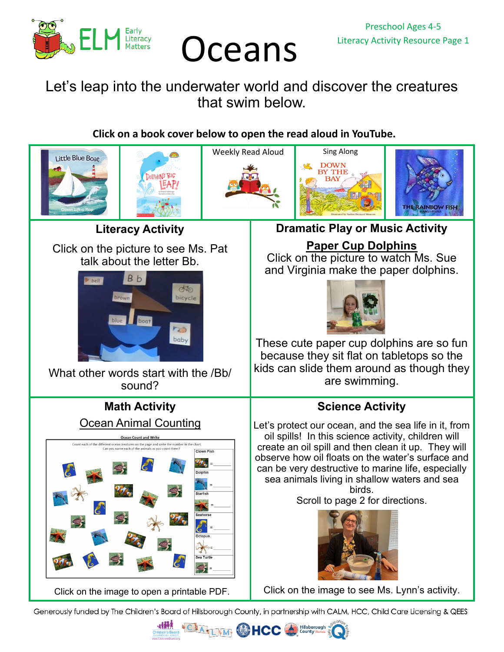

## Oceans Literacy Activity Resource Page 1

## Let's leap into the underwater world and discover the creatures that swim below.

## **Click on a book cover below to open the read aloud in YouTube.**



Generously funded by The Children's Board of Hillsborough County, in partnership with CALM, HCC, Child Care Licensing & QEES